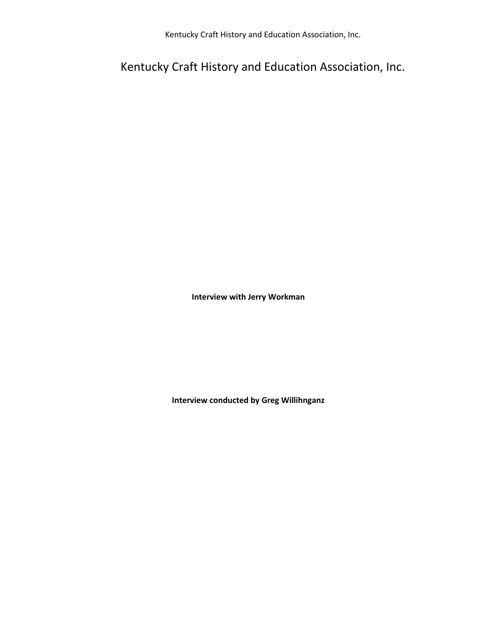Kentucky Craft History and Education Association, Inc.

Kentucky Craft History and Education Association, Inc.

**Interview with Jerry Workman**

**Interview conducted by Greg Willihnganz**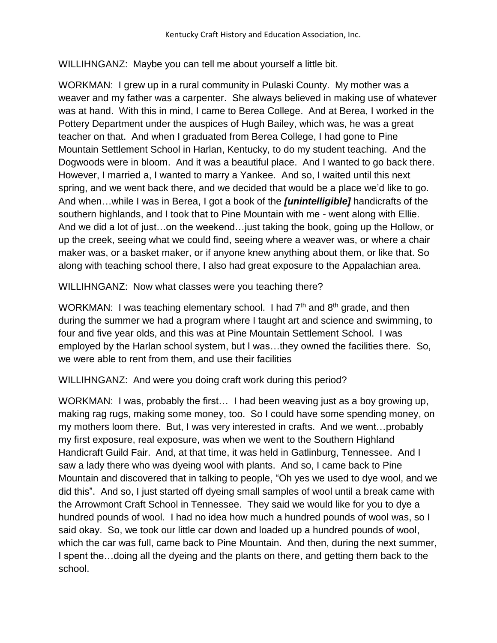WILLIHNGANZ: Maybe you can tell me about yourself a little bit.

WORKMAN: I grew up in a rural community in Pulaski County. My mother was a weaver and my father was a carpenter. She always believed in making use of whatever was at hand. With this in mind, I came to Berea College. And at Berea, I worked in the Pottery Department under the auspices of Hugh Bailey, which was, he was a great teacher on that. And when I graduated from Berea College, I had gone to Pine Mountain Settlement School in Harlan, Kentucky, to do my student teaching. And the Dogwoods were in bloom. And it was a beautiful place. And I wanted to go back there. However, I married a, I wanted to marry a Yankee. And so, I waited until this next spring, and we went back there, and we decided that would be a place we'd like to go. And when…while I was in Berea, I got a book of the *[unintelligible]* handicrafts of the southern highlands, and I took that to Pine Mountain with me - went along with Ellie. And we did a lot of just…on the weekend…just taking the book, going up the Hollow, or up the creek, seeing what we could find, seeing where a weaver was, or where a chair maker was, or a basket maker, or if anyone knew anything about them, or like that. So along with teaching school there, I also had great exposure to the Appalachian area.

WILLIHNGANZ: Now what classes were you teaching there?

WORKMAN: I was teaching elementary school. I had  $7<sup>th</sup>$  and  $8<sup>th</sup>$  grade, and then during the summer we had a program where I taught art and science and swimming, to four and five year olds, and this was at Pine Mountain Settlement School. I was employed by the Harlan school system, but I was…they owned the facilities there. So, we were able to rent from them, and use their facilities

WILLIHNGANZ: And were you doing craft work during this period?

WORKMAN: I was, probably the first… I had been weaving just as a boy growing up, making rag rugs, making some money, too. So I could have some spending money, on my mothers loom there. But, I was very interested in crafts. And we went…probably my first exposure, real exposure, was when we went to the Southern Highland Handicraft Guild Fair. And, at that time, it was held in Gatlinburg, Tennessee. And I saw a lady there who was dyeing wool with plants. And so, I came back to Pine Mountain and discovered that in talking to people, "Oh yes we used to dye wool, and we did this". And so, I just started off dyeing small samples of wool until a break came with the Arrowmont Craft School in Tennessee. They said we would like for you to dye a hundred pounds of wool. I had no idea how much a hundred pounds of wool was, so I said okay. So, we took our little car down and loaded up a hundred pounds of wool, which the car was full, came back to Pine Mountain. And then, during the next summer, I spent the…doing all the dyeing and the plants on there, and getting them back to the school.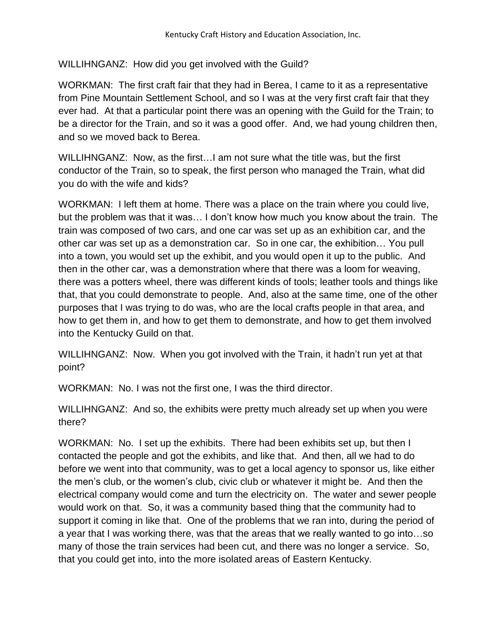WILLIHNGANZ: How did you get involved with the Guild?

WORKMAN: The first craft fair that they had in Berea, I came to it as a representative from Pine Mountain Settlement School, and so I was at the very first craft fair that they ever had. At that a particular point there was an opening with the Guild for the Train; to be a director for the Train, and so it was a good offer. And, we had young children then, and so we moved back to Berea.

WILLIHNGANZ: Now, as the first…I am not sure what the title was, but the first conductor of the Train, so to speak, the first person who managed the Train, what did you do with the wife and kids?

WORKMAN: I left them at home. There was a place on the train where you could live, but the problem was that it was… I don't know how much you know about the train. The train was composed of two cars, and one car was set up as an exhibition car, and the other car was set up as a demonstration car. So in one car, the exhibition… You pull into a town, you would set up the exhibit, and you would open it up to the public. And then in the other car, was a demonstration where that there was a loom for weaving, there was a potters wheel, there was different kinds of tools; leather tools and things like that, that you could demonstrate to people. And, also at the same time, one of the other purposes that I was trying to do was, who are the local crafts people in that area, and how to get them in, and how to get them to demonstrate, and how to get them involved into the Kentucky Guild on that.

WILLIHNGANZ: Now. When you got involved with the Train, it hadn't run yet at that point?

WORKMAN: No. I was not the first one, I was the third director.

WILLIHNGANZ: And so, the exhibits were pretty much already set up when you were there?

WORKMAN: No. I set up the exhibits. There had been exhibits set up, but then I contacted the people and got the exhibits, and like that. And then, all we had to do before we went into that community, was to get a local agency to sponsor us, like either the men's club, or the women's club, civic club or whatever it might be. And then the electrical company would come and turn the electricity on. The water and sewer people would work on that. So, it was a community based thing that the community had to support it coming in like that. One of the problems that we ran into, during the period of a year that I was working there, was that the areas that we really wanted to go into…so many of those the train services had been cut, and there was no longer a service. So, that you could get into, into the more isolated areas of Eastern Kentucky.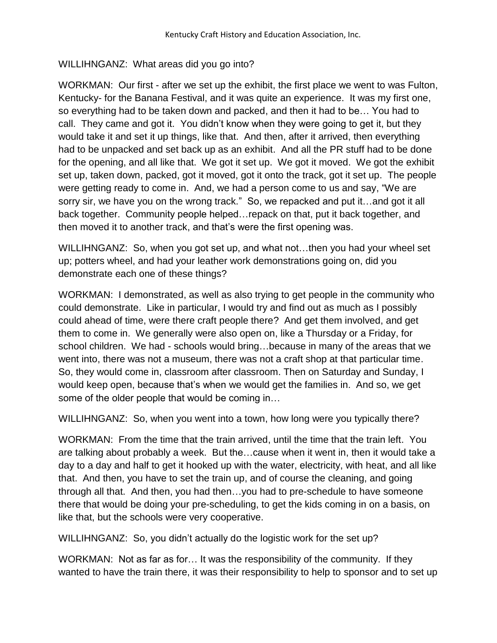## WILLIHNGANZ: What areas did you go into?

WORKMAN: Our first - after we set up the exhibit, the first place we went to was Fulton, Kentucky- for the Banana Festival, and it was quite an experience. It was my first one, so everything had to be taken down and packed, and then it had to be… You had to call. They came and got it. You didn't know when they were going to get it, but they would take it and set it up things, like that. And then, after it arrived, then everything had to be unpacked and set back up as an exhibit. And all the PR stuff had to be done for the opening, and all like that. We got it set up. We got it moved. We got the exhibit set up, taken down, packed, got it moved, got it onto the track, got it set up. The people were getting ready to come in. And, we had a person come to us and say, "We are sorry sir, we have you on the wrong track." So, we repacked and put it…and got it all back together. Community people helped…repack on that, put it back together, and then moved it to another track, and that's were the first opening was.

WILLIHNGANZ: So, when you got set up, and what not…then you had your wheel set up; potters wheel, and had your leather work demonstrations going on, did you demonstrate each one of these things?

WORKMAN: I demonstrated, as well as also trying to get people in the community who could demonstrate. Like in particular, I would try and find out as much as I possibly could ahead of time, were there craft people there? And get them involved, and get them to come in. We generally were also open on, like a Thursday or a Friday, for school children. We had - schools would bring…because in many of the areas that we went into, there was not a museum, there was not a craft shop at that particular time. So, they would come in, classroom after classroom. Then on Saturday and Sunday, I would keep open, because that's when we would get the families in. And so, we get some of the older people that would be coming in…

WILLIHNGANZ: So, when you went into a town, how long were you typically there?

WORKMAN: From the time that the train arrived, until the time that the train left. You are talking about probably a week. But the…cause when it went in, then it would take a day to a day and half to get it hooked up with the water, electricity, with heat, and all like that. And then, you have to set the train up, and of course the cleaning, and going through all that. And then, you had then…you had to pre-schedule to have someone there that would be doing your pre-scheduling, to get the kids coming in on a basis, on like that, but the schools were very cooperative.

WILLIHNGANZ: So, you didn't actually do the logistic work for the set up?

WORKMAN: Not as far as for… It was the responsibility of the community. If they wanted to have the train there, it was their responsibility to help to sponsor and to set up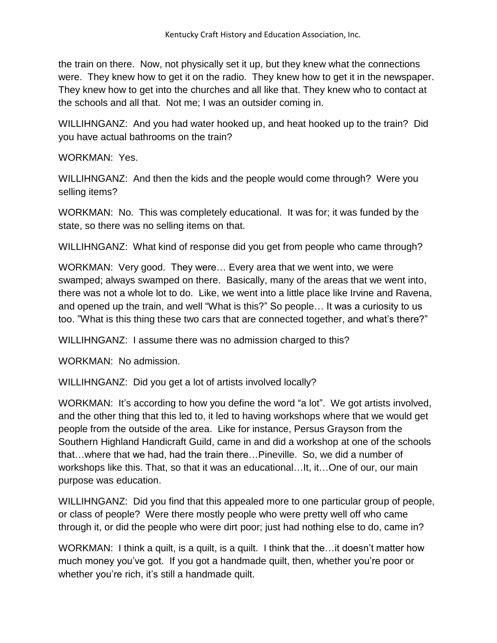the train on there. Now, not physically set it up, but they knew what the connections were. They knew how to get it on the radio. They knew how to get it in the newspaper. They knew how to get into the churches and all like that. They knew who to contact at the schools and all that. Not me; I was an outsider coming in.

WILLIHNGANZ: And you had water hooked up, and heat hooked up to the train? Did you have actual bathrooms on the train?

WORKMAN: Yes.

WILLIHNGANZ: And then the kids and the people would come through? Were you selling items?

WORKMAN: No. This was completely educational. It was for; it was funded by the state, so there was no selling items on that.

WILLIHNGANZ: What kind of response did you get from people who came through?

WORKMAN: Very good. They were… Every area that we went into, we were swamped; always swamped on there. Basically, many of the areas that we went into, there was not a whole lot to do. Like, we went into a little place like Irvine and Ravena, and opened up the train, and well "What is this?" So people… It was a curiosity to us too. "What is this thing these two cars that are connected together, and what's there?"

WILLIHNGANZ: I assume there was no admission charged to this?

WORKMAN: No admission.

WILLIHNGANZ: Did you get a lot of artists involved locally?

WORKMAN: It's according to how you define the word "a lot". We got artists involved, and the other thing that this led to, it led to having workshops where that we would get people from the outside of the area. Like for instance, Persus Grayson from the Southern Highland Handicraft Guild, came in and did a workshop at one of the schools that…where that we had, had the train there…Pineville. So, we did a number of workshops like this. That, so that it was an educational…It, it…One of our, our main purpose was education.

WILLIHNGANZ: Did you find that this appealed more to one particular group of people, or class of people? Were there mostly people who were pretty well off who came through it, or did the people who were dirt poor; just had nothing else to do, came in?

WORKMAN: I think a quilt, is a quilt, is a quilt. I think that the... it doesn't matter how much money you've got. If you got a handmade quilt, then, whether you're poor or whether you're rich, it's still a handmade quilt.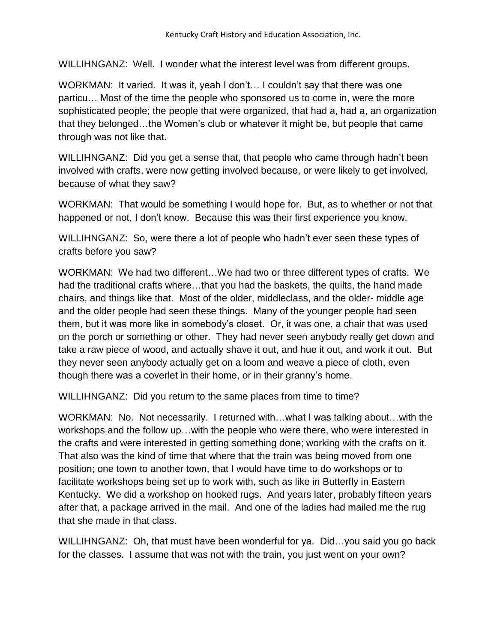WILLIHNGANZ: Well. I wonder what the interest level was from different groups.

WORKMAN: It varied. It was it, yeah I don't… I couldn't say that there was one particu… Most of the time the people who sponsored us to come in, were the more sophisticated people; the people that were organized, that had a, had a, an organization that they belonged…the Women's club or whatever it might be, but people that came through was not like that.

WILLIHNGANZ: Did you get a sense that, that people who came through hadn't been involved with crafts, were now getting involved because, or were likely to get involved, because of what they saw?

WORKMAN: That would be something I would hope for. But, as to whether or not that happened or not, I don't know. Because this was their first experience you know.

WILLIHNGANZ: So, were there a lot of people who hadn't ever seen these types of crafts before you saw?

WORKMAN: We had two different…We had two or three different types of crafts. We had the traditional crafts where…that you had the baskets, the quilts, the hand made chairs, and things like that. Most of the older, middleclass, and the older- middle age and the older people had seen these things. Many of the younger people had seen them, but it was more like in somebody's closet. Or, it was one, a chair that was used on the porch or something or other. They had never seen anybody really get down and take a raw piece of wood, and actually shave it out, and hue it out, and work it out. But they never seen anybody actually get on a loom and weave a piece of cloth, even though there was a coverlet in their home, or in their granny's home.

WILLIHNGANZ: Did you return to the same places from time to time?

WORKMAN: No. Not necessarily. I returned with…what I was talking about…with the workshops and the follow up…with the people who were there, who were interested in the crafts and were interested in getting something done; working with the crafts on it. That also was the kind of time that where that the train was being moved from one position; one town to another town, that I would have time to do workshops or to facilitate workshops being set up to work with, such as like in Butterfly in Eastern Kentucky. We did a workshop on hooked rugs. And years later, probably fifteen years after that, a package arrived in the mail. And one of the ladies had mailed me the rug that she made in that class.

WILLIHNGANZ: Oh, that must have been wonderful for ya. Did... you said you go back for the classes. I assume that was not with the train, you just went on your own?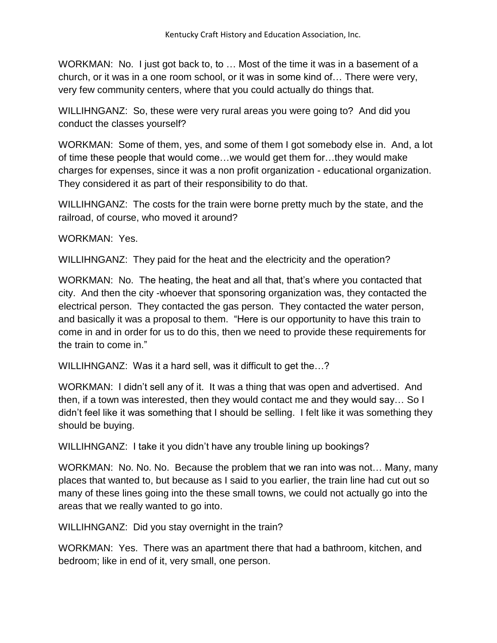WORKMAN: No. I just got back to, to … Most of the time it was in a basement of a church, or it was in a one room school, or it was in some kind of… There were very, very few community centers, where that you could actually do things that.

WILLIHNGANZ: So, these were very rural areas you were going to? And did you conduct the classes yourself?

WORKMAN: Some of them, yes, and some of them I got somebody else in. And, a lot of time these people that would come…we would get them for…they would make charges for expenses, since it was a non profit organization - educational organization. They considered it as part of their responsibility to do that.

WILLIHNGANZ: The costs for the train were borne pretty much by the state, and the railroad, of course, who moved it around?

WORKMAN: Yes.

WILLIHNGANZ: They paid for the heat and the electricity and the operation?

WORKMAN: No. The heating, the heat and all that, that's where you contacted that city. And then the city -whoever that sponsoring organization was, they contacted the electrical person. They contacted the gas person. They contacted the water person, and basically it was a proposal to them. "Here is our opportunity to have this train to come in and in order for us to do this, then we need to provide these requirements for the train to come in."

WILLIHNGANZ: Was it a hard sell, was it difficult to get the...?

WORKMAN: I didn't sell any of it. It was a thing that was open and advertised. And then, if a town was interested, then they would contact me and they would say… So I didn't feel like it was something that I should be selling. I felt like it was something they should be buying.

WILLIHNGANZ: I take it you didn't have any trouble lining up bookings?

WORKMAN: No. No. No. Because the problem that we ran into was not… Many, many places that wanted to, but because as I said to you earlier, the train line had cut out so many of these lines going into the these small towns, we could not actually go into the areas that we really wanted to go into.

WILLIHNGANZ: Did you stay overnight in the train?

WORKMAN: Yes. There was an apartment there that had a bathroom, kitchen, and bedroom; like in end of it, very small, one person.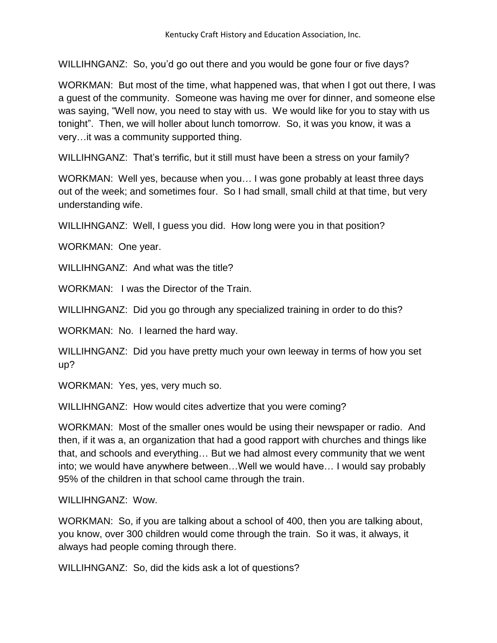WILLIHNGANZ: So, you'd go out there and you would be gone four or five days?

WORKMAN: But most of the time, what happened was, that when I got out there, I was a guest of the community. Someone was having me over for dinner, and someone else was saying, "Well now, you need to stay with us. We would like for you to stay with us tonight". Then, we will holler about lunch tomorrow. So, it was you know, it was a very…it was a community supported thing.

WILLIHNGANZ: That's terrific, but it still must have been a stress on your family?

WORKMAN: Well yes, because when you… I was gone probably at least three days out of the week; and sometimes four. So I had small, small child at that time, but very understanding wife.

WILLIHNGANZ: Well, I guess you did. How long were you in that position?

WORKMAN: One year.

WILLIHNGANZ: And what was the title?

WORKMAN: I was the Director of the Train.

WILLIHNGANZ: Did you go through any specialized training in order to do this?

WORKMAN: No. I learned the hard way.

WILLIHNGANZ: Did you have pretty much your own leeway in terms of how you set up?

WORKMAN: Yes, yes, very much so.

WILLIHNGANZ: How would cites advertize that you were coming?

WORKMAN: Most of the smaller ones would be using their newspaper or radio. And then, if it was a, an organization that had a good rapport with churches and things like that, and schools and everything… But we had almost every community that we went into; we would have anywhere between…Well we would have… I would say probably 95% of the children in that school came through the train.

WILLIHNGANZ: Wow.

WORKMAN: So, if you are talking about a school of 400, then you are talking about, you know, over 300 children would come through the train. So it was, it always, it always had people coming through there.

WILLIHNGANZ: So, did the kids ask a lot of questions?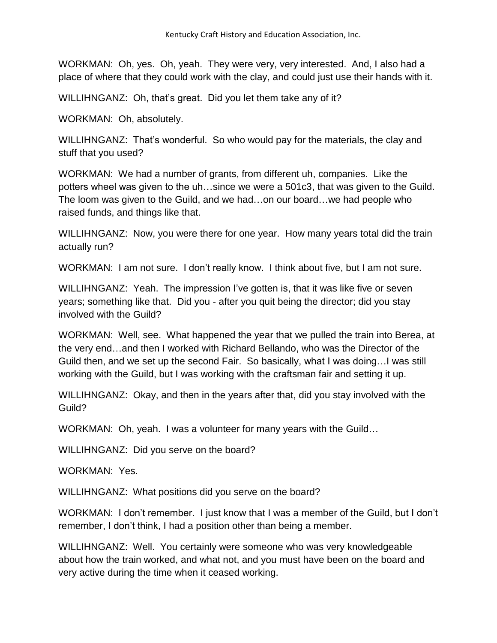WORKMAN: Oh, yes. Oh, yeah. They were very, very interested. And, I also had a place of where that they could work with the clay, and could just use their hands with it.

WILLIHNGANZ: Oh, that's great. Did you let them take any of it?

WORKMAN: Oh, absolutely.

WILLIHNGANZ: That's wonderful. So who would pay for the materials, the clay and stuff that you used?

WORKMAN: We had a number of grants, from different uh, companies. Like the potters wheel was given to the uh…since we were a 501c3, that was given to the Guild. The loom was given to the Guild, and we had…on our board…we had people who raised funds, and things like that.

WILLIHNGANZ: Now, you were there for one year. How many years total did the train actually run?

WORKMAN: I am not sure. I don't really know. I think about five, but I am not sure.

WILLIHNGANZ: Yeah. The impression I've gotten is, that it was like five or seven years; something like that. Did you - after you quit being the director; did you stay involved with the Guild?

WORKMAN: Well, see. What happened the year that we pulled the train into Berea, at the very end…and then I worked with Richard Bellando, who was the Director of the Guild then, and we set up the second Fair. So basically, what I was doing…I was still working with the Guild, but I was working with the craftsman fair and setting it up.

WILLIHNGANZ: Okay, and then in the years after that, did you stay involved with the Guild?

WORKMAN: Oh, yeah. I was a volunteer for many years with the Guild…

WILLIHNGANZ: Did you serve on the board?

WORKMAN: Yes.

WILLIHNGANZ: What positions did you serve on the board?

WORKMAN: I don't remember. I just know that I was a member of the Guild, but I don't remember, I don't think, I had a position other than being a member.

WILLIHNGANZ: Well. You certainly were someone who was very knowledgeable about how the train worked, and what not, and you must have been on the board and very active during the time when it ceased working.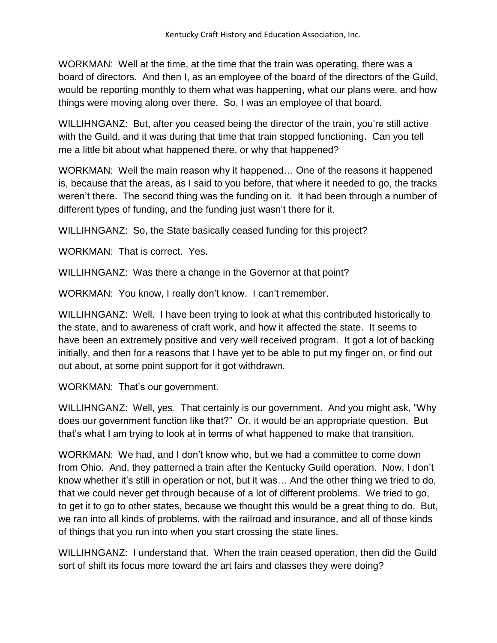WORKMAN: Well at the time, at the time that the train was operating, there was a board of directors. And then I, as an employee of the board of the directors of the Guild, would be reporting monthly to them what was happening, what our plans were, and how things were moving along over there. So, I was an employee of that board.

WILLIHNGANZ: But, after you ceased being the director of the train, you're still active with the Guild, and it was during that time that train stopped functioning. Can you tell me a little bit about what happened there, or why that happened?

WORKMAN: Well the main reason why it happened… One of the reasons it happened is, because that the areas, as I said to you before, that where it needed to go, the tracks weren't there. The second thing was the funding on it. It had been through a number of different types of funding, and the funding just wasn't there for it.

WILLIHNGANZ: So, the State basically ceased funding for this project?

WORKMAN: That is correct. Yes.

WILLIHNGANZ: Was there a change in the Governor at that point?

WORKMAN: You know, I really don't know. I can't remember.

WILLIHNGANZ: Well. I have been trying to look at what this contributed historically to the state, and to awareness of craft work, and how it affected the state. It seems to have been an extremely positive and very well received program. It got a lot of backing initially, and then for a reasons that I have yet to be able to put my finger on, or find out out about, at some point support for it got withdrawn.

WORKMAN: That's our government.

WILLIHNGANZ: Well, yes. That certainly is our government. And you might ask, "Why does our government function like that?" Or, it would be an appropriate question. But that's what I am trying to look at in terms of what happened to make that transition.

WORKMAN: We had, and I don't know who, but we had a committee to come down from Ohio. And, they patterned a train after the Kentucky Guild operation. Now, I don't know whether it's still in operation or not, but it was… And the other thing we tried to do, that we could never get through because of a lot of different problems. We tried to go, to get it to go to other states, because we thought this would be a great thing to do. But, we ran into all kinds of problems, with the railroad and insurance, and all of those kinds of things that you run into when you start crossing the state lines.

WILLIHNGANZ: I understand that. When the train ceased operation, then did the Guild sort of shift its focus more toward the art fairs and classes they were doing?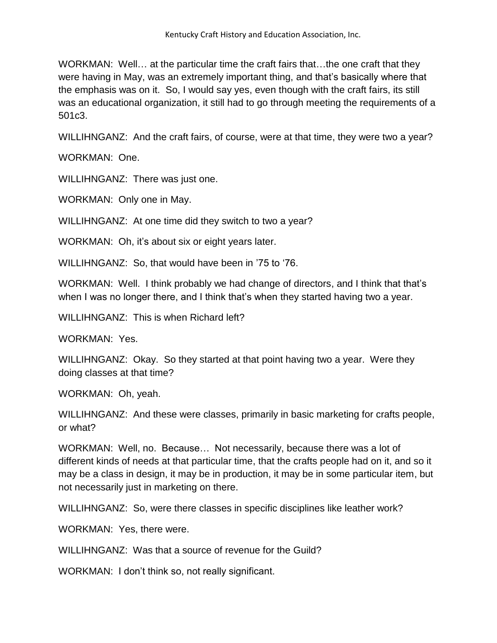WORKMAN: Well... at the particular time the craft fairs that...the one craft that they were having in May, was an extremely important thing, and that's basically where that the emphasis was on it. So, I would say yes, even though with the craft fairs, its still was an educational organization, it still had to go through meeting the requirements of a 501c3.

WILLIHNGANZ: And the craft fairs, of course, were at that time, they were two a year?

WORKMAN: One.

WILLIHNGANZ: There was just one.

WORKMAN: Only one in May.

WILLIHNGANZ: At one time did they switch to two a year?

WORKMAN: Oh, it's about six or eight years later.

WILLIHNGANZ: So, that would have been in '75 to '76.

WORKMAN: Well. I think probably we had change of directors, and I think that that's when I was no longer there, and I think that's when they started having two a year.

WILLIHNGANZ: This is when Richard left?

WORKMAN: Yes.

WILLIHNGANZ: Okay. So they started at that point having two a year. Were they doing classes at that time?

WORKMAN: Oh, yeah.

WILLIHNGANZ: And these were classes, primarily in basic marketing for crafts people, or what?

WORKMAN: Well, no. Because… Not necessarily, because there was a lot of different kinds of needs at that particular time, that the crafts people had on it, and so it may be a class in design, it may be in production, it may be in some particular item, but not necessarily just in marketing on there.

WILLIHNGANZ: So, were there classes in specific disciplines like leather work?

WORKMAN: Yes, there were.

WILLIHNGANZ: Was that a source of revenue for the Guild?

WORKMAN: I don't think so, not really significant.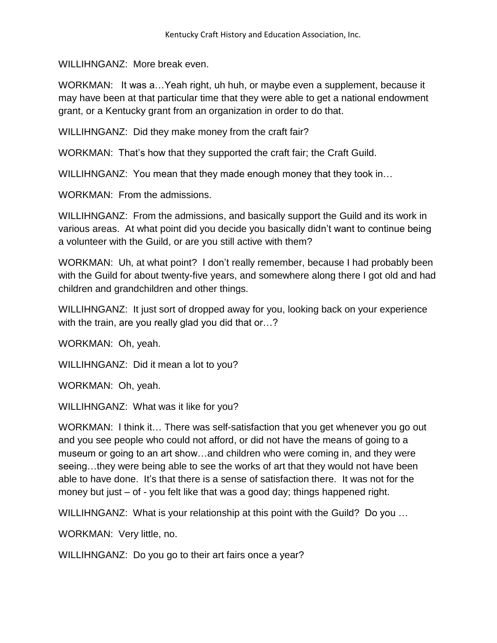WILLIHNGANZ: More break even.

WORKMAN: It was a…Yeah right, uh huh, or maybe even a supplement, because it may have been at that particular time that they were able to get a national endowment grant, or a Kentucky grant from an organization in order to do that.

WILLIHNGANZ: Did they make money from the craft fair?

WORKMAN: That's how that they supported the craft fair; the Craft Guild.

WILLIHNGANZ: You mean that they made enough money that they took in...

WORKMAN: From the admissions.

WILLIHNGANZ: From the admissions, and basically support the Guild and its work in various areas. At what point did you decide you basically didn't want to continue being a volunteer with the Guild, or are you still active with them?

WORKMAN: Uh, at what point? I don't really remember, because I had probably been with the Guild for about twenty-five years, and somewhere along there I got old and had children and grandchildren and other things.

WILLIHNGANZ: It just sort of dropped away for you, looking back on your experience with the train, are you really glad you did that or...?

WORKMAN: Oh, yeah.

WILLIHNGANZ: Did it mean a lot to you?

WORKMAN: Oh, yeah.

WILLIHNGANZ: What was it like for you?

WORKMAN: I think it... There was self-satisfaction that you get whenever you go out and you see people who could not afford, or did not have the means of going to a museum or going to an art show…and children who were coming in, and they were seeing…they were being able to see the works of art that they would not have been able to have done. It's that there is a sense of satisfaction there. It was not for the money but just – of - you felt like that was a good day; things happened right.

WILLIHNGANZ: What is your relationship at this point with the Guild? Do you ...

WORKMAN: Very little, no.

WILLIHNGANZ: Do you go to their art fairs once a year?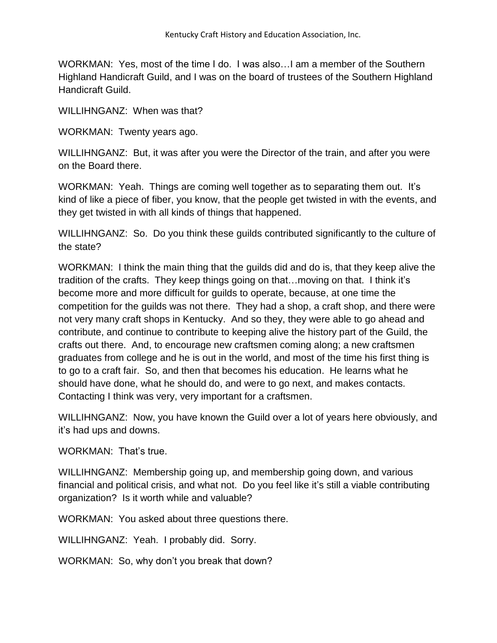WORKMAN: Yes, most of the time I do. I was also…I am a member of the Southern Highland Handicraft Guild, and I was on the board of trustees of the Southern Highland Handicraft Guild.

WILLIHNGANZ: When was that?

WORKMAN: Twenty years ago.

WILLIHNGANZ: But, it was after you were the Director of the train, and after you were on the Board there.

WORKMAN: Yeah. Things are coming well together as to separating them out. It's kind of like a piece of fiber, you know, that the people get twisted in with the events, and they get twisted in with all kinds of things that happened.

WILLIHNGANZ: So. Do you think these quilds contributed significantly to the culture of the state?

WORKMAN: I think the main thing that the guilds did and do is, that they keep alive the tradition of the crafts. They keep things going on that…moving on that. I think it's become more and more difficult for guilds to operate, because, at one time the competition for the guilds was not there. They had a shop, a craft shop, and there were not very many craft shops in Kentucky. And so they, they were able to go ahead and contribute, and continue to contribute to keeping alive the history part of the Guild, the crafts out there. And, to encourage new craftsmen coming along; a new craftsmen graduates from college and he is out in the world, and most of the time his first thing is to go to a craft fair. So, and then that becomes his education. He learns what he should have done, what he should do, and were to go next, and makes contacts. Contacting I think was very, very important for a craftsmen.

WILLIHNGANZ: Now, you have known the Guild over a lot of years here obviously, and it's had ups and downs.

WORKMAN: That's true.

WILLIHNGANZ: Membership going up, and membership going down, and various financial and political crisis, and what not. Do you feel like it's still a viable contributing organization? Is it worth while and valuable?

WORKMAN: You asked about three questions there.

WILLIHNGANZ: Yeah. I probably did. Sorry.

WORKMAN: So, why don't you break that down?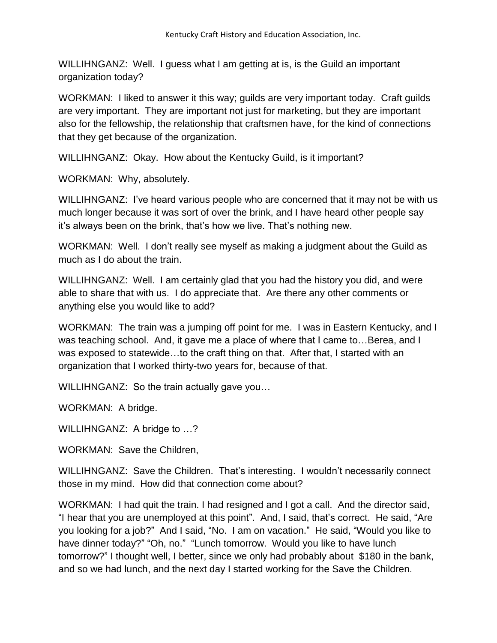WILLIHNGANZ: Well. I guess what I am getting at is, is the Guild an important organization today?

WORKMAN: I liked to answer it this way; guilds are very important today. Craft guilds are very important. They are important not just for marketing, but they are important also for the fellowship, the relationship that craftsmen have, for the kind of connections that they get because of the organization.

WILLIHNGANZ: Okay. How about the Kentucky Guild, is it important?

WORKMAN: Why, absolutely.

WILLIHNGANZ: I've heard various people who are concerned that it may not be with us much longer because it was sort of over the brink, and I have heard other people say it's always been on the brink, that's how we live. That's nothing new.

WORKMAN: Well. I don't really see myself as making a judgment about the Guild as much as I do about the train.

WILLIHNGANZ: Well. I am certainly glad that you had the history you did, and were able to share that with us. I do appreciate that. Are there any other comments or anything else you would like to add?

WORKMAN: The train was a jumping off point for me. I was in Eastern Kentucky, and I was teaching school. And, it gave me a place of where that I came to…Berea, and I was exposed to statewide…to the craft thing on that. After that, I started with an organization that I worked thirty-two years for, because of that.

WILLIHNGANZ: So the train actually gave you…

WORKMAN: A bridge.

WILLIHNGANZ: A bridge to ...?

WORKMAN: Save the Children,

WILLIHNGANZ: Save the Children. That's interesting. I wouldn't necessarily connect those in my mind. How did that connection come about?

WORKMAN: I had quit the train. I had resigned and I got a call. And the director said, "I hear that you are unemployed at this point". And, I said, that's correct. He said, "Are you looking for a job?" And I said, "No. I am on vacation." He said, "Would you like to have dinner today?" "Oh, no." "Lunch tomorrow. Would you like to have lunch tomorrow?" I thought well, I better, since we only had probably about \$180 in the bank, and so we had lunch, and the next day I started working for the Save the Children.